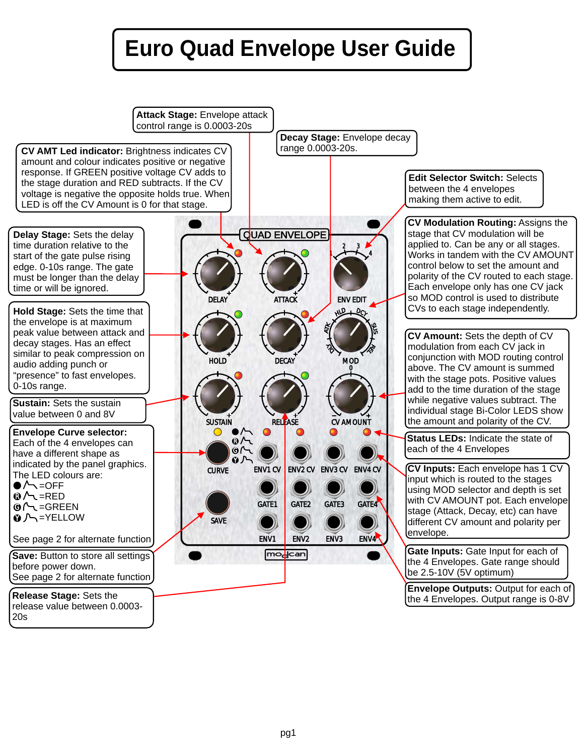# **Euro Quad Envelope User Guide**

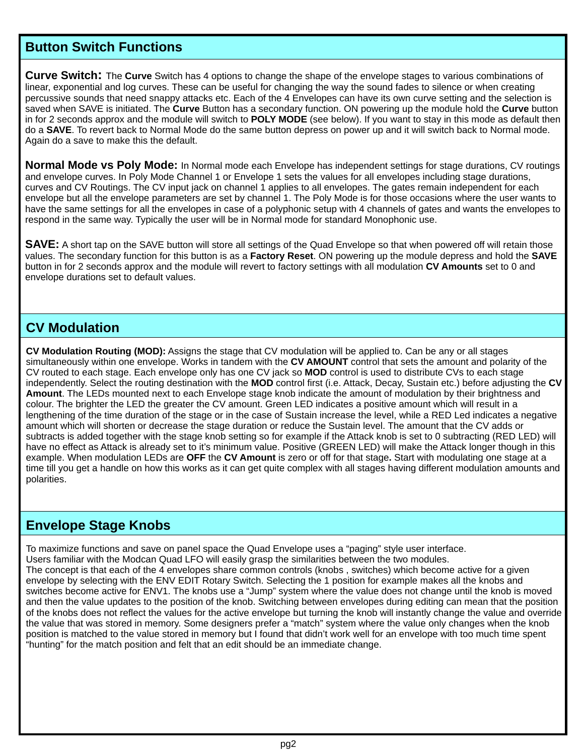#### **Button Switch Functions**

Curve Switch: The Curve Switch has 4 options to change the shape of the envelope stages to various combinations of linear, exponential and log curves. These can be useful for changing the way the sound fades to silence or when creating percussive sounds that need snappy attacks etc. Each of the 4 Envelopes can have its own curve setting and the selection is saved when SAVE is initiated. The **Curve** Button has a secondary function. ON powering up the module hold the **Curve** button in for 2 seconds approx and the module will switch to **POLY MODE** (see below). If you want to stay in this mode as default then do a **SAVE**. To revert back to Normal Mode do the same button depress on power up and it will switch back to Normal mode. Again do a save to make this the default.

**Normal Mode vs Poly Mode:** In Normal mode each Envelope has independent settings for stage durations, CV routings and envelope curves. In Poly Mode Channel 1 or Envelope 1 sets the values for all envelopes including stage durations, curves and CV Routings. The CV input jack on channel 1 applies to all envelopes. The gates remain independent for each envelope but all the envelope parameters are set by channel 1. The Poly Mode is for those occasions where the user wants to have the same settings for all the envelopes in case of a polyphonic setup with 4 channels of gates and wants the envelopes to respond in the same way. Typically the user will be in Normal mode for standard Monophonic use.

**SAVE:** A short tap on the SAVE button will store all settings of the Quad Envelope so that when powered off will retain those values. The secondary function for this button is as a **Factory Reset**. ON powering up the module depress and hold the **SAVE** button in for 2 seconds approx and the module will revert to factory settings with all modulation **CV Amounts** set to 0 and envelope durations set to default values.

#### **CV Modulation**

**CV Modulation Routing (MOD):** Assigns the stage that CV modulation will be applied to. Can be any or all stages simultaneously within one envelope. Works in tandem with the **CV AMOUNT** control that sets the amount and polarity of the CV routed to each stage. Each envelope only has one CV jack so **MOD** control is used to distribute CVs to each stage independently. Select the routing destination with the **MOD** control first (i.e. Attack, Decay, Sustain etc.) before adjusting the **CV Amount**. The LEDs mounted next to each Envelope stage knob indicate the amount of modulation by their brightness and colour. The brighter the LED the greater the CV amount. Green LED indicates a positive amount which will result in a lengthening of the time duration of the stage or in the case of Sustain increase the level, while a RED Led indicates a negative amount which will shorten or decrease the stage duration or reduce the Sustain level. The amount that the CV adds or subtracts is added together with the stage knob setting so for example if the Attack knob is set to 0 subtracting (RED LED) will have no effect as Attack is already set to it's minimum value. Positive (GREEN LED) will make the Attack longer though in this example. When modulation LEDs are **OFF** the **CV Amount** is zero or off for that stage**.** Start with modulating one stage at a time till you get a handle on how this works as it can get quite complex with all stages having different modulation amounts and polarities.

#### **Envelope Stage Knobs**

To maximize functions and save on panel space the Quad Envelope uses a "paging" style user interface. Users familiar with the Modcan Quad LFO will easily grasp the similarities between the two modules. The concept is that each of the 4 envelopes share common controls (knobs , switches) which become active for a given envelope by selecting with the ENV EDIT Rotary Switch. Selecting the 1 position for example makes all the knobs and switches become active for ENV1. The knobs use a "Jump" system where the value does not change until the knob is moved and then the value updates to the position of the knob. Switching between envelopes during editing can mean that the position of the knobs does not reflect the values for the active envelope but turning the knob will instantly change the value and override the value that was stored in memory. Some designers prefer a "match" system where the value only changes when the knob position is matched to the value stored in memory but I found that didn't work well for an envelope with too much time spent "hunting" for the match position and felt that an edit should be an immediate change.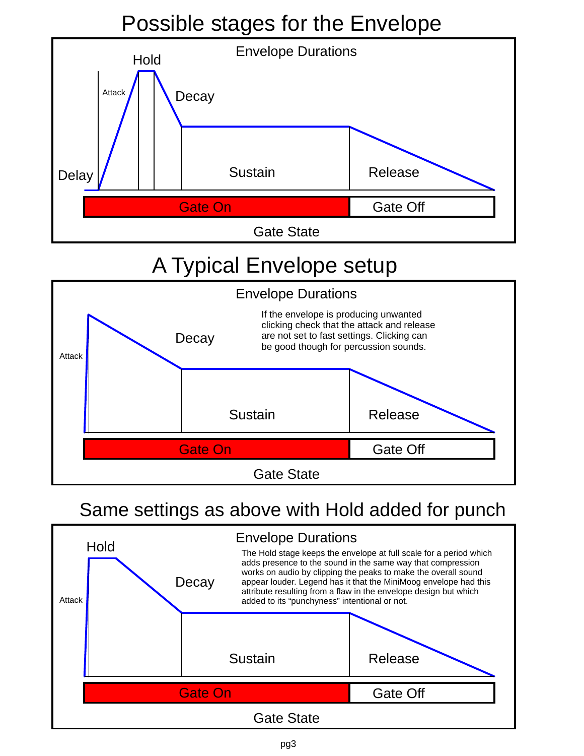# Possible stages for the Envelope



## A Typical Envelope setup



### Same settings as above with Hold added for punch

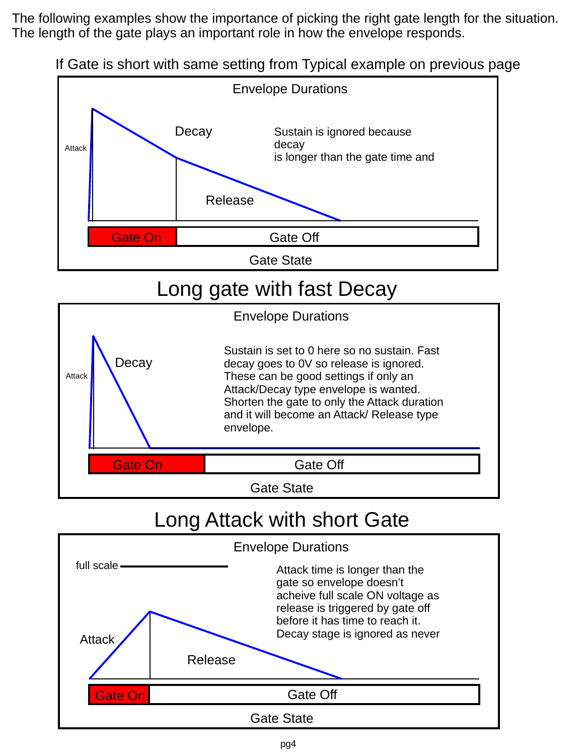The following examples show the importance of picking the right gate length for the situation. The length of the gate plays an important role in how the envelope responds.





### Long Attack with short Gate